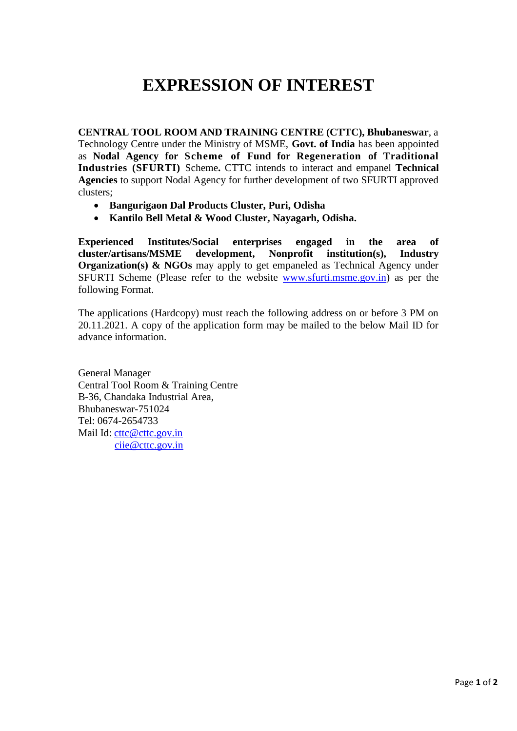## **EXPRESSION OF INTEREST**

**CENTRAL TOOL ROOM AND TRAINING CENTRE (CTTC), Bhubaneswar**, a Technology Centre under the Ministry of MSME, **Govt. of India** has been appointed as **Nodal Agency for Scheme of Fund for Regeneration of Traditional Industries (SFURTI)** Scheme**.** CTTC intends to interact and empanel **Technical Agencies** to support Nodal Agency for further development of two SFURTI approved clusters;

- **Bangurigaon Dal Products Cluster, Puri, Odisha**
- **Kantilo Bell Metal & Wood Cluster, Nayagarh, Odisha.**

**Experienced Institutes/Social enterprises engaged in the area of cluster/artisans/MSME development, Nonprofit institution(s), Industry Organization(s) & NGOs** may apply to get empaneled as Technical Agency under SFURTI Scheme (Please refer to the website www.sfurti.msme.gov.in) as per the following Format.

The applications (Hardcopy) must reach the following address on or before 3 PM on 20.11.2021. A copy of the application form may be mailed to the below Mail ID for advance information.

General Manager Central Tool Room & Training Centre B-36, Chandaka Industrial Area, Bhubaneswar-751024 Tel: 0674-2654733 Mail Id: [cttc@cttc.gov.in](mailto:cttc@cttc.gov.in) [ciie@cttc.gov.in](mailto:ciie@cttc.gov.in)